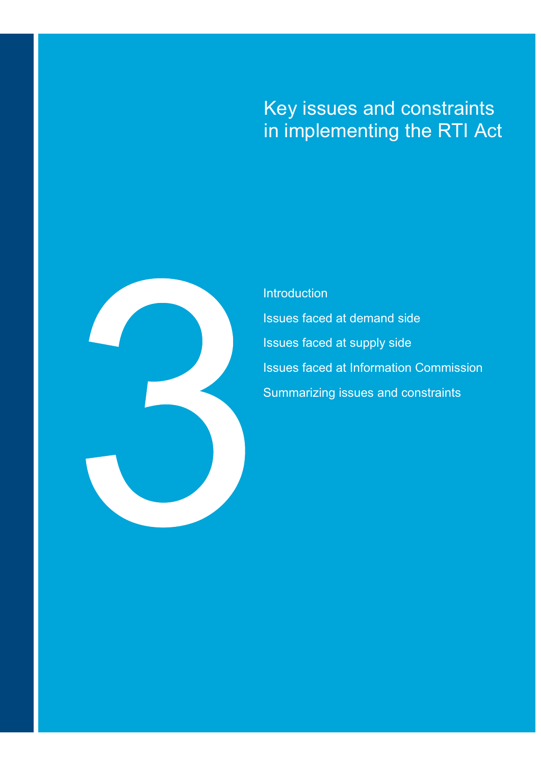# Key issues and constraints in implementing the RTI Act



PricewaterhouseCoopers Final Understanding the "Key Issues and Constraints" in implementing the RTI Act\*

**Introduction** Issues faced at demand side Issues faced at supply side Issues faced at Information Commission Summarizing issues and constraints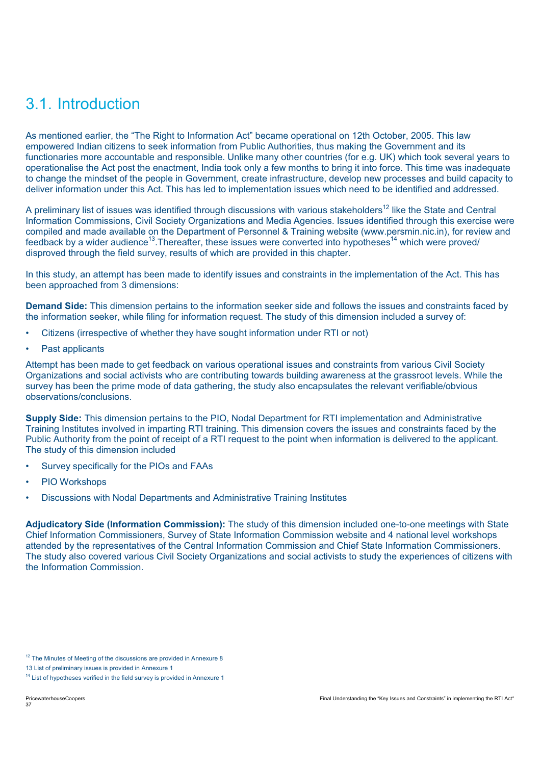# 3.1. Introduction

As mentioned earlier, the "The Right to Information Act" became operational on 12th October, 2005. This law empowered Indian citizens to seek information from Public Authorities, thus making the Government and its functionaries more accountable and responsible. Unlike many other countries (for e.g. UK) which took several years to operationalise the Act post the enactment, India took only a few months to bring it into force. This time was inadequate to change the mindset of the people in Government, create infrastructure, develop new processes and build capacity to deliver information under this Act. This has led to implementation issues which need to be identified and addressed.

A preliminary list of issues was identified through discussions with various stakeholders<sup>12</sup> like the State and Central Information Commissions, Civil Society Organizations and Media Agencies. Issues identified through this exercise were compiled and made available on the Department of Personnel & Training website (www.persmin.nic.in), for review and feedback by a wider audience<sup>13</sup>. Thereafter, these issues were converted into hypotheses<sup>14</sup> which were proved/ disproved through the field survey, results of which are provided in this chapter.

In this study, an attempt has been made to identify issues and constraints in the implementation of the Act. This has been approached from 3 dimensions:

**Demand Side:** This dimension pertains to the information seeker side and follows the issues and constraints faced by the information seeker, while filing for information request. The study of this dimension included a survey of:

- Citizens (irrespective of whether they have sought information under RTI or not)
- Past applicants

Attempt has been made to get feedback on various operational issues and constraints from various Civil Society Organizations and social activists who are contributing towards building awareness at the grassroot levels. While the survey has been the prime mode of data gathering, the study also encapsulates the relevant verifiable/obvious observations/conclusions.

**Supply Side:** This dimension pertains to the PIO, Nodal Department for RTI implementation and Administrative Training Institutes involved in imparting RTI training. This dimension covers the issues and constraints faced by the Public Authority from the point of receipt of a RTI request to the point when information is delivered to the applicant. The study of this dimension included

- Survey specifically for the PIOs and FAAs
- PIO Workshops
- Discussions with Nodal Departments and Administrative Training Institutes

**Adjudicatory Side (Information Commission):** The study of this dimension included one-to-one meetings with State Chief Information Commissioners, Survey of State Information Commission website and 4 national level workshops attended by the representatives of the Central Information Commission and Chief State Information Commissioners. The study also covered various Civil Society Organizations and social activists to study the experiences of citizens with the Information Commission.

<sup>&</sup>lt;sup>12</sup> The Minutes of Meeting of the discussions are provided in Annexure 8

<sup>13</sup> List of preliminary issues is provided in Annexure 1

<sup>&</sup>lt;sup>14</sup> List of hypotheses verified in the field survey is provided in Annexure 1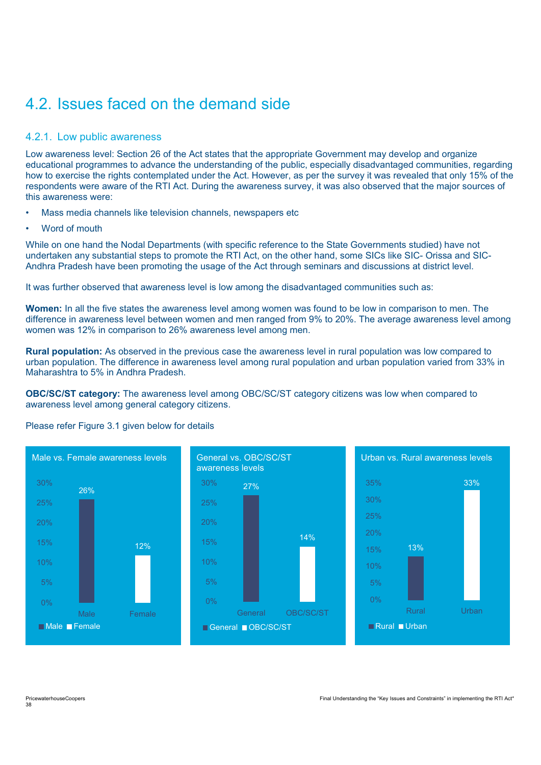# 4.2. Issues faced on the demand side

### 4.2.1. Low public awareness

Low awareness level: Section 26 of the Act states that the appropriate Government may develop and organize educational programmes to advance the understanding of the public, especially disadvantaged communities, regarding how to exercise the rights contemplated under the Act. However, as per the survey it was revealed that only 15% of the respondents were aware of the RTI Act. During the awareness survey, it was also observed that the major sources of this awareness were:

- Mass media channels like television channels, newspapers etc
- Word of mouth

While on one hand the Nodal Departments (with specific reference to the State Governments studied) have not undertaken any substantial steps to promote the RTI Act, on the other hand, some SICs like SIC- Orissa and SIC-Andhra Pradesh have been promoting the usage of the Act through seminars and discussions at district level.

It was further observed that awareness level is low among the disadvantaged communities such as:

**Women:** In all the five states the awareness level among women was found to be low in comparison to men. The difference in awareness level between women and men ranged from 9% to 20%. The average awareness level among women was 12% in comparison to 26% awareness level among men.

**Rural population:** As observed in the previous case the awareness level in rural population was low compared to urban population. The difference in awareness level among rural population and urban population varied from 33% in Maharashtra to 5% in Andhra Pradesh.

**OBC/SC/ST category:** The awareness level among OBC/SC/ST category citizens was low when compared to awareness level among general category citizens.

#### Please refer Figure 3.1 given below for details

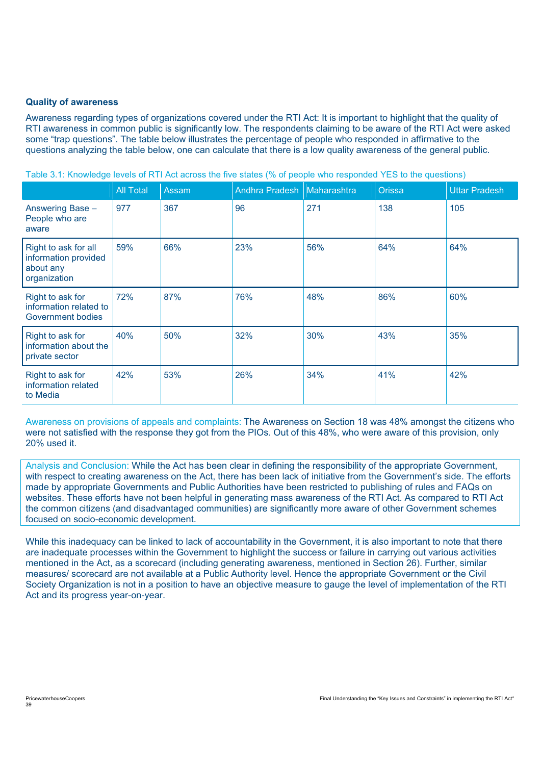#### **Quality of awareness**

Awareness regarding types of organizations covered under the RTI Act: It is important to highlight that the quality of RTI awareness in common public is significantly low. The respondents claiming to be aware of the RTI Act were asked some "trap questions". The table below illustrates the percentage of people who responded in affirmative to the questions analyzing the table below, one can calculate that there is a low quality awareness of the general public.

|                                                                           | <b>All Total</b> | Assam | Andhra Pradesh   Maharashtra |     | Orissa | <b>Uttar Pradesh</b> |
|---------------------------------------------------------------------------|------------------|-------|------------------------------|-----|--------|----------------------|
| Answering Base -<br>People who are<br>aware                               | 977              | 367   | 96                           | 271 | 138    | 105                  |
| Right to ask for all<br>information provided<br>about any<br>organization | 59%              | 66%   | 23%                          | 56% | 64%    | 64%                  |
| Right to ask for<br>information related to<br>Government bodies           | 72%              | 87%   | 76%                          | 48% | 86%    | 60%                  |
| Right to ask for<br>information about the<br>private sector               | 40%              | 50%   | 32%                          | 30% | 43%    | 35%                  |
| Right to ask for<br>information related<br>to Media                       | 42%              | 53%   | 26%                          | 34% | 41%    | 42%                  |

Table 3.1: Knowledge levels of RTI Act across the five states (% of people who responded YES to the questions)

Awareness on provisions of appeals and complaints: The Awareness on Section 18 was 48% amongst the citizens who were not satisfied with the response they got from the PIOs. Out of this 48%, who were aware of this provision, only 20% used it.

Analysis and Conclusion: While the Act has been clear in defining the responsibility of the appropriate Government, with respect to creating awareness on the Act, there has been lack of initiative from the Government's side. The efforts made by appropriate Governments and Public Authorities have been restricted to publishing of rules and FAQs on websites. These efforts have not been helpful in generating mass awareness of the RTI Act. As compared to RTI Act the common citizens (and disadvantaged communities) are significantly more aware of other Government schemes focused on socio-economic development.

While this inadequacy can be linked to lack of accountability in the Government, it is also important to note that there are inadequate processes within the Government to highlight the success or failure in carrying out various activities mentioned in the Act, as a scorecard (including generating awareness, mentioned in Section 26). Further, similar measures/ scorecard are not available at a Public Authority level. Hence the appropriate Government or the Civil Society Organization is not in a position to have an objective measure to gauge the level of implementation of the RTI Act and its progress year-on-year.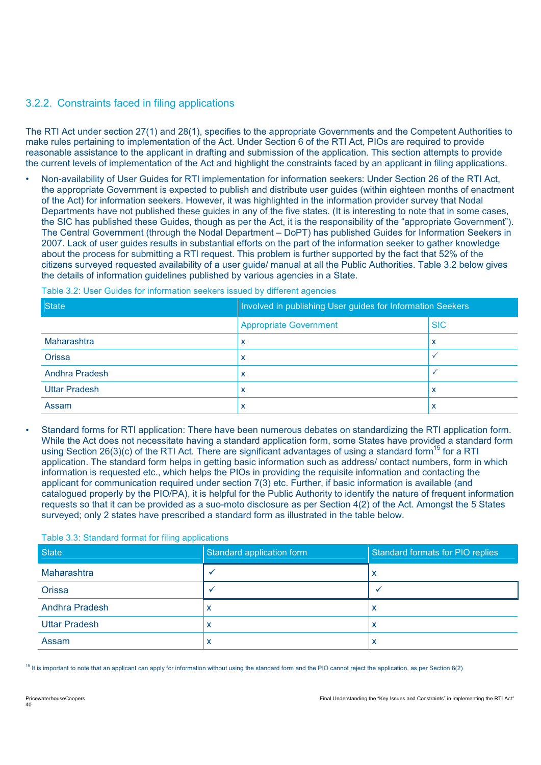### 3.2.2. Constraints faced in filing applications

The RTI Act under section 27(1) and 28(1), specifies to the appropriate Governments and the Competent Authorities to make rules pertaining to implementation of the Act. Under Section 6 of the RTI Act, PIOs are required to provide reasonable assistance to the applicant in drafting and submission of the application. This section attempts to provide the current levels of implementation of the Act and highlight the constraints faced by an applicant in filing applications.

• Non-availability of User Guides for RTI implementation for information seekers: Under Section 26 of the RTI Act, the appropriate Government is expected to publish and distribute user guides (within eighteen months of enactment of the Act) for information seekers. However, it was highlighted in the information provider survey that Nodal Departments have not published these guides in any of the five states. (It is interesting to note that in some cases, the SIC has published these Guides, though as per the Act, it is the responsibility of the "appropriate Government"). The Central Government (through the Nodal Department – DoPT) has published Guides for Information Seekers in 2007. Lack of user guides results in substantial efforts on the part of the information seeker to gather knowledge about the process for submitting a RTI request. This problem is further supported by the fact that 52% of the citizens surveyed requested availability of a user guide/ manual at all the Public Authorities. Table 3.2 below gives the details of information guidelines published by various agencies in a State.

|  |  |  |  |  |  |  | Table 3.2: User Guides for information seekers issued by different agencies |
|--|--|--|--|--|--|--|-----------------------------------------------------------------------------|
|--|--|--|--|--|--|--|-----------------------------------------------------------------------------|

| <b>State</b>         | Involved in publishing User guides for Information Seekers |                           |
|----------------------|------------------------------------------------------------|---------------------------|
|                      | <b>Appropriate Government</b>                              | <b>SIC</b>                |
| Maharashtra          | x                                                          | $\checkmark$<br>$\lambda$ |
| <b>Orissa</b>        | x                                                          |                           |
| Andhra Pradesh       | x                                                          |                           |
| <b>Uttar Pradesh</b> | x                                                          | $\tilde{\phantom{a}}$     |
| Assam                | ⋏                                                          | ↗                         |

• Standard forms for RTI application: There have been numerous debates on standardizing the RTI application form. While the Act does not necessitate having a standard application form, some States have provided a standard form using Section 26(3)(c) of the RTI Act. There are significant advantages of using a standard form<sup>15</sup> for a RTI application. The standard form helps in getting basic information such as address/ contact numbers, form in which information is requested etc., which helps the PIOs in providing the requisite information and contacting the applicant for communication required under section 7(3) etc. Further, if basic information is available (and catalogued properly by the PIO/PA), it is helpful for the Public Authority to identify the nature of frequent information requests so that it can be provided as a suo-moto disclosure as per Section 4(2) of the Act. Amongst the 5 States surveyed; only 2 states have prescribed a standard form as illustrated in the table below.

#### Table 3.3: Standard format for filing applications

| <b>State</b>          | Standard application form | Standard formats for PIO replies |
|-----------------------|---------------------------|----------------------------------|
| Maharashtra           |                           | ᄉ                                |
| <b>Orissa</b>         |                           |                                  |
| <b>Andhra Pradesh</b> | ↗                         | ́                                |
| <b>Uttar Pradesh</b>  | ↗                         | ́                                |
| Assam                 | ↗                         |                                  |

 $15$  It is important to note that an applicant can apply for information without using the standard form and the PIO cannot reject the application, as per Section 6(2)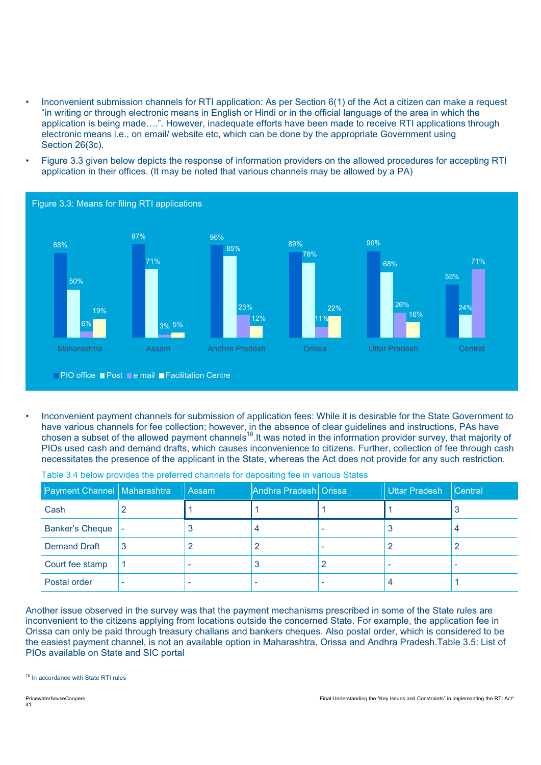- Inconvenient submission channels for RTI application: As per Section 6(1) of the Act a citizen can make a request "in writing or through electronic means in English or Hindi or in the official language of the area in which the application is being made….". However, inadequate efforts have been made to receive RTI applications through electronic means i.e., on email/ website etc, which can be done by the appropriate Government using Section 26(3c).
- Figure 3.3 given below depicts the response of information providers on the allowed procedures for accepting RTI application in their offices. (It may be noted that various channels may be allowed by a PA)



• Inconvenient payment channels for submission of application fees: While it is desirable for the State Government to have various channels for fee collection; however, in the absence of clear guidelines and instructions, PAs have chosen a subset of the allowed payment channels<sup>16</sup>. It was noted in the information provider survey, that majority of PIOs used cash and demand drafts, which causes inconvenience to citizens. Further, collection of fee through cash necessitates the presence of the applicant in the State, whereas the Act does not provide for any such restriction.

| Payment Channel   Maharashtra | l Assam | Andhra Pradesh Orissa | Uttar Pradesh | Central |
|-------------------------------|---------|-----------------------|---------------|---------|
| Cash                          |         |                       |               | J       |
| <b>Banker's Cheque</b>        |         |                       |               |         |
| <b>Demand Draft</b>           |         |                       |               |         |
| Court fee stamp               |         |                       |               |         |
| Postal order                  |         |                       |               |         |

Table 3.4 below provides the preferred channels for depositing fee in various States

Another issue observed in the survey was that the payment mechanisms prescribed in some of the State rules are inconvenient to the citizens applying from locations outside the concerned State. For example, the application fee in Orissa can only be paid through treasury challans and bankers cheques. Also postal order, which is considered to be the easiest payment channel, is not an available option in Maharashtra, Orissa and Andhra Pradesh.Table 3.5: List of PIOs available on State and SIC portal

<sup>16</sup> In accordance with State RTI rules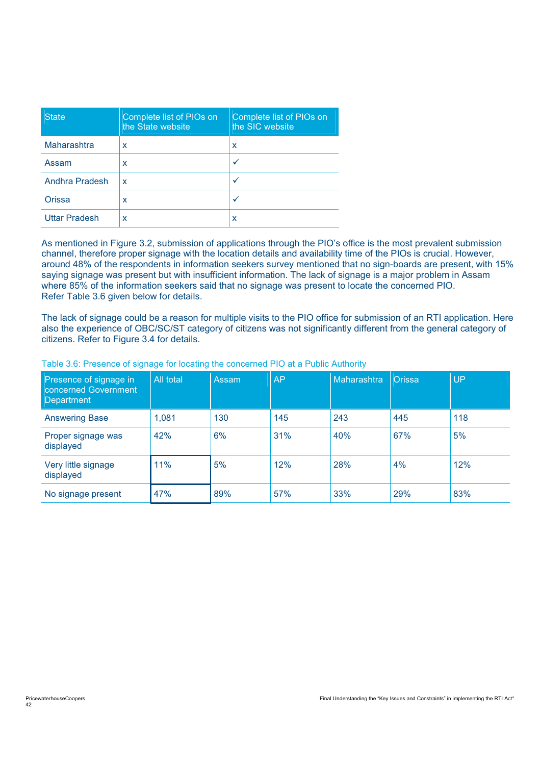| <b>State</b>         | Complete list of PIOs on<br>the State website | Complete list of PIOs on<br>the SIC website |
|----------------------|-----------------------------------------------|---------------------------------------------|
| Maharashtra          | x                                             | x                                           |
| Assam                | x                                             |                                             |
| Andhra Pradesh       | x                                             |                                             |
| Orissa               | x                                             | v                                           |
| <b>Uttar Pradesh</b> | x                                             | х                                           |

As mentioned in Figure 3.2, submission of applications through the PIO's office is the most prevalent submission channel, therefore proper signage with the location details and availability time of the PIOs is crucial. However, around 48% of the respondents in information seekers survey mentioned that no sign-boards are present, with 15% saying signage was present but with insufficient information. The lack of signage is a major problem in Assam where 85% of the information seekers said that no signage was present to locate the concerned PIO. Refer Table 3.6 given below for details.

The lack of signage could be a reason for multiple visits to the PIO office for submission of an RTI application. Here also the experience of OBC/SC/ST category of citizens was not significantly different from the general category of citizens. Refer to Figure 3.4 for details.

| Presence of signage in<br>concerned Government<br>Department | All total | Assam | <b>AP</b> | Maharashtra | <b>Orissa</b> | <b>UP</b> |
|--------------------------------------------------------------|-----------|-------|-----------|-------------|---------------|-----------|
| <b>Answering Base</b>                                        | 1.081     | 130   | 145       | 243         | 445           | 118       |
| Proper signage was<br>displayed                              | 42%       | 6%    | 31%       | 40%         | 67%           | 5%        |
| Very little signage<br>displayed                             | 11%       | 5%    | 12%       | 28%         | 4%            | 12%       |
| No signage present                                           | 47%       | 89%   | 57%       | 33%         | 29%           | 83%       |

#### Table 3.6: Presence of signage for locating the concerned PIO at a Public Authority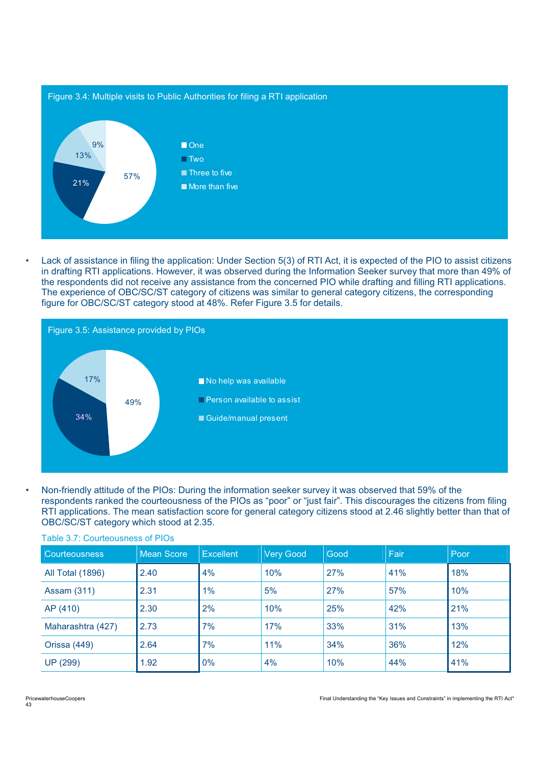

• Lack of assistance in filing the application: Under Section 5(3) of RTI Act, it is expected of the PIO to assist citizens in drafting RTI applications. However, it was observed during the Information Seeker survey that more than 49% of the respondents did not receive any assistance from the concerned PIO while drafting and filling RTI applications. The experience of OBC/SC/ST category of citizens was similar to general category citizens, the corresponding figure for OBC/SC/ST category stood at 48%. Refer Figure 3.5 for details.



• Non-friendly attitude of the PIOs: During the information seeker survey it was observed that 59% of the respondents ranked the courteousness of the PIOs as "poor" or "just fair". This discourages the citizens from filing RTI applications. The mean satisfaction score for general category citizens stood at 2.46 slightly better than that of OBC/SC/ST category which stood at 2.35.

| <b>Courteousness</b>    | Mean Score | <b>Excellent</b> | <b>Very Good</b> | Good | Fair | Poor |
|-------------------------|------------|------------------|------------------|------|------|------|
| <b>All Total (1896)</b> | 2.40       | 4%               | 10%              | 27%  | 41%  | 18%  |
| <b>Assam (311)</b>      | 2.31       | $1\%$            | 5%               | 27%  | 57%  | 10%  |
| AP (410)                | 2.30       | 2%               | 10%              | 25%  | 42%  | 21%  |
| Maharashtra (427)       | 2.73       | 7%               | 17%              | 33%  | 31%  | 13%  |
| Orissa (449)            | 2.64       | 7%               | 11%              | 34%  | 36%  | 12%  |
| <b>UP (299)</b>         | 1.92       | 0%               | 4%               | 10%  | 44%  | 41%  |

#### Table 3.7: Courteousness of PIOs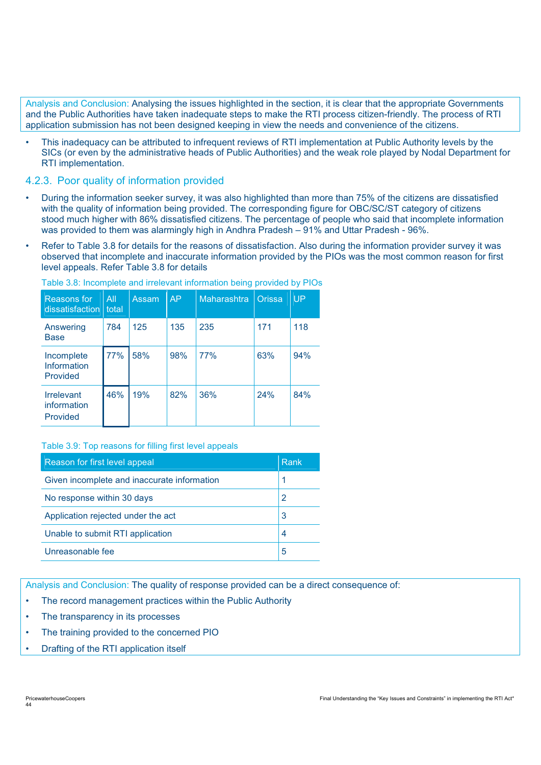Analysis and Conclusion: Analysing the issues highlighted in the section, it is clear that the appropriate Governments and the Public Authorities have taken inadequate steps to make the RTI process citizen-friendly. The process of RTI application submission has not been designed keeping in view the needs and convenience of the citizens.

• This inadequacy can be attributed to infrequent reviews of RTI implementation at Public Authority levels by the SICs (or even by the administrative heads of Public Authorities) and the weak role played by Nodal Department for RTI implementation.

### 4.2.3. Poor quality of information provided

- During the information seeker survey, it was also highlighted than more than 75% of the citizens are dissatisfied with the quality of information being provided. The corresponding figure for OBC/SC/ST category of citizens stood much higher with 86% dissatisfied citizens. The percentage of people who said that incomplete information was provided to them was alarmingly high in Andhra Pradesh – 91% and Uttar Pradesh - 96%.
- Refer to Table 3.8 for details for the reasons of dissatisfaction. Also during the information provider survey it was observed that incomplete and inaccurate information provided by the PIOs was the most common reason for first level appeals. Refer Table 3.8 for details

| Reasons for<br>dissatisfaction               | All<br>total | Assam | <b>AP</b> | Maharashtra | <b>Orissa</b> | UP  |
|----------------------------------------------|--------------|-------|-----------|-------------|---------------|-----|
| Answering<br><b>Base</b>                     | 784          | 125   | 135       | 235         | 171           | 118 |
| Incomplete<br>Information<br>Provided        | 77%          | 58%   | 98%       | 77%         | 63%           | 94% |
| <b>Irrelevant</b><br>information<br>Provided | 46%          | 19%   | 82%       | 36%         | 24%           | 84% |

Table 3.8: Incomplete and irrelevant information being provided by PIOs

#### Table 3.9: Top reasons for filling first level appeals

| Reason for first level appeal               | Rank |
|---------------------------------------------|------|
| Given incomplete and inaccurate information |      |
| No response within 30 days                  |      |
| Application rejected under the act          | 3    |
| Unable to submit RTI application            | 4    |
| Unreasonable fee                            | 5    |

Analysis and Conclusion: The quality of response provided can be a direct consequence of:

- The record management practices within the Public Authority
- The transparency in its processes
- The training provided to the concerned PIO
- Drafting of the RTI application itself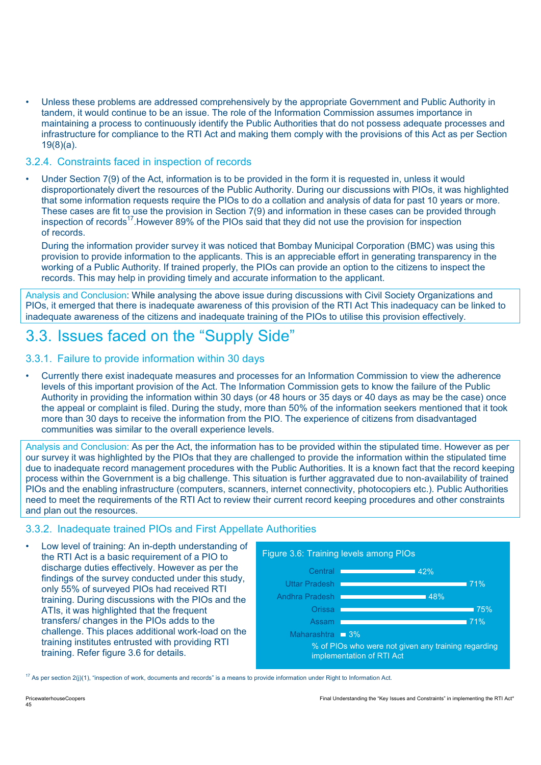• Unless these problems are addressed comprehensively by the appropriate Government and Public Authority in tandem, it would continue to be an issue. The role of the Information Commission assumes importance in maintaining a process to continuously identify the Public Authorities that do not possess adequate processes and infrastructure for compliance to the RTI Act and making them comply with the provisions of this Act as per Section 19(8)(a).

#### 3.2.4. Constraints faced in inspection of records

• Under Section 7(9) of the Act, information is to be provided in the form it is requested in, unless it would disproportionately divert the resources of the Public Authority. During our discussions with PIOs, it was highlighted that some information requests require the PIOs to do a collation and analysis of data for past 10 years or more. These cases are fit to use the provision in Section 7(9) and information in these cases can be provided through inspection of records<sup>17</sup>. However 89% of the PIOs said that they did not use the provision for inspection of records.

During the information provider survey it was noticed that Bombay Municipal Corporation (BMC) was using this provision to provide information to the applicants. This is an appreciable effort in generating transparency in the working of a Public Authority. If trained properly, the PIOs can provide an option to the citizens to inspect the records. This may help in providing timely and accurate information to the applicant.

Analysis and Conclusion: While analysing the above issue during discussions with Civil Society Organizations and PIOs, it emerged that there is inadequate awareness of this provision of the RTI Act This inadequacy can be linked to inadequate awareness of the citizens and inadequate training of the PIOs to utilise this provision effectively.

# 3.3. Issues faced on the "Supply Side"

#### 3.3.1. Failure to provide information within 30 days

• Currently there exist inadequate measures and processes for an Information Commission to view the adherence levels of this important provision of the Act. The Information Commission gets to know the failure of the Public Authority in providing the information within 30 days (or 48 hours or 35 days or 40 days as may be the case) once the appeal or complaint is filed. During the study, more than 50% of the information seekers mentioned that it took more than 30 days to receive the information from the PIO. The experience of citizens from disadvantaged communities was similar to the overall experience levels.

Analysis and Conclusion: As per the Act, the information has to be provided within the stipulated time. However as per our survey it was highlighted by the PIOs that they are challenged to provide the information within the stipulated time due to inadequate record management procedures with the Public Authorities. It is a known fact that the record keeping process within the Government is a big challenge. This situation is further aggravated due to non-availability of trained PIOs and the enabling infrastructure (computers, scanners, internet connectivity, photocopiers etc.). Public Authorities need to meet the requirements of the RTI Act to review their current record keeping procedures and other constraints and plan out the resources.

# 3.3.2. Inadequate trained PIOs and First Appellate Authorities

• Low level of training: An in-depth understanding of the RTI Act is a basic requirement of a PIO to discharge duties effectively. However as per the findings of the survey conducted under this study, only 55% of surveyed PIOs had received RTI training. During discussions with the PIOs and the ATIs, it was highlighted that the frequent transfers/ changes in the PIOs adds to the challenge. This places additional work-load on the training institutes entrusted with providing RTI training. Refer figure 3.6 for details.



 $17$  As per section 2(j)(1), "inspection of work, documents and records" is a means to provide information under Right to Information Act.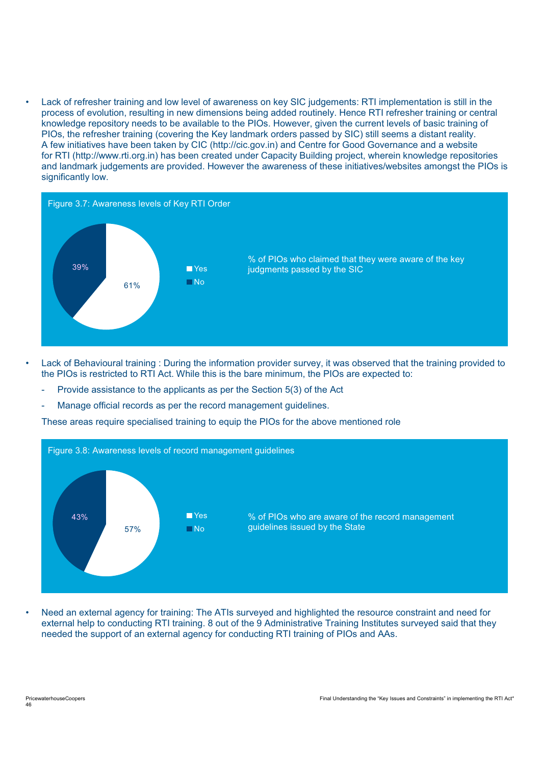• Lack of refresher training and low level of awareness on key SIC judgements: RTI implementation is still in the process of evolution, resulting in new dimensions being added routinely. Hence RTI refresher training or central knowledge repository needs to be available to the PIOs. However, given the current levels of basic training of PIOs, the refresher training (covering the Key landmark orders passed by SIC) still seems a distant reality. A few initiatives have been taken by CIC (http://cic.gov.in) and Centre for Good Governance and a website for RTI (http://www.rti.org.in) has been created under Capacity Building project, wherein knowledge repositories and landmark judgements are provided. However the awareness of these initiatives/websites amongst the PIOs is significantly low.



- Lack of Behavioural training : During the information provider survey, it was observed that the training provided to the PIOs is restricted to RTI Act. While this is the bare minimum, the PIOs are expected to:
	- Provide assistance to the applicants as per the Section 5(3) of the Act
	- Manage official records as per the record management guidelines.

These areas require specialised training to equip the PIOs for the above mentioned role



• Need an external agency for training: The ATIs surveyed and highlighted the resource constraint and need for external help to conducting RTI training. 8 out of the 9 Administrative Training Institutes surveyed said that they needed the support of an external agency for conducting RTI training of PIOs and AAs.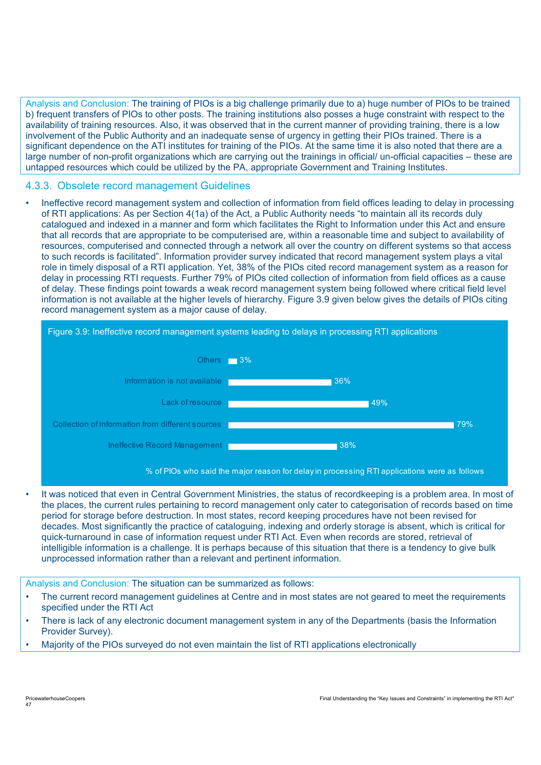Analysis and Conclusion: The training of PIOs is a big challenge primarily due to a) huge number of PIOs to be trained b) frequent transfers of PIOs to other posts. The training institutions also posses a huge constraint with respect to the availability of training resources. Also, it was observed that in the current manner of providing training, there is a low involvement of the Public Authority and an inadequate sense of urgency in getting their PIOs trained. There is a significant dependence on the ATI institutes for training of the PIOs. At the same time it is also noted that there are a large number of non-profit organizations which are carrying out the trainings in official/ un-official capacities – these are untapped resources which could be utilized by the PA, appropriate Government and Training Institutes.

#### 4.3.3. Obsolete record management Guidelines

• Ineffective record management system and collection of information from field offices leading to delay in processing of RTI applications: As per Section 4(1a) of the Act, a Public Authority needs "to maintain all its records duly catalogued and indexed in a manner and form which facilitates the Right to Information under this Act and ensure that all records that are appropriate to be computerised are, within a reasonable time and subject to availability of resources, computerised and connected through a network all over the country on different systems so that access to such records is facilitated". Information provider survey indicated that record management system plays a vital role in timely disposal of a RTI application. Yet, 38% of the PIOs cited record management system as a reason for delay in processing RTI requests. Further 79% of PIOs cited collection of information from field offices as a cause of delay. These findings point towards a weak record management system being followed where critical field level information is not available at the higher levels of hierarchy. Figure 3.9 given below gives the details of PIOs citing record management system as a major cause of delay.



% of PIOs who said the major reason for delay in processing RTI applications were as follows

It was noticed that even in Central Government Ministries, the status of recordkeeping is a problem area. In most of the places, the current rules pertaining to record management only cater to categorisation of records based on time period for storage before destruction. In most states, record keeping procedures have not been revised for decades. Most significantly the practice of cataloguing, indexing and orderly storage is absent, which is critical for quick-turnaround in case of information request under RTI Act. Even when records are stored, retrieval of intelligible information is a challenge. It is perhaps because of this situation that there is a tendency to give bulk unprocessed information rather than a relevant and pertinent information.

Analysis and Conclusion: The situation can be summarized as follows:

- The current record management guidelines at Centre and in most states are not geared to meet the requirements specified under the RTI Act
- There is lack of any electronic document management system in any of the Departments (basis the Information Provider Survey).
- Majority of the PIOs surveyed do not even maintain the list of RTI applications electronically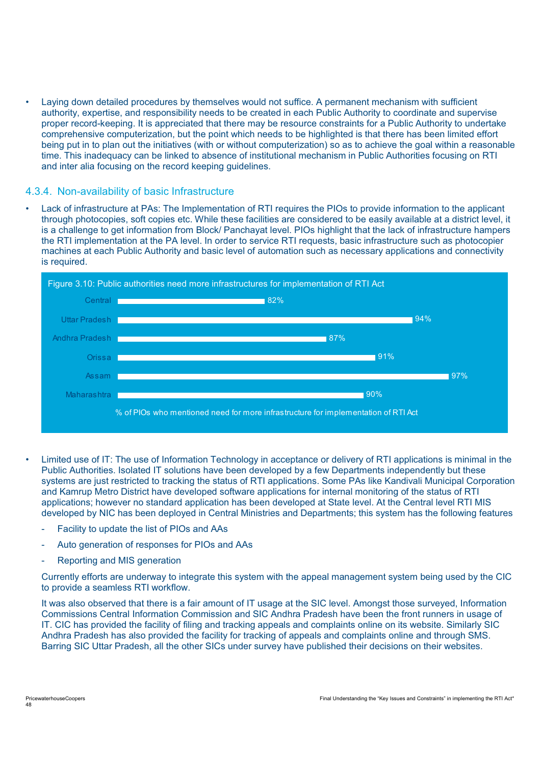• Laying down detailed procedures by themselves would not suffice. A permanent mechanism with sufficient authority, expertise, and responsibility needs to be created in each Public Authority to coordinate and supervise proper record-keeping. It is appreciated that there may be resource constraints for a Public Authority to undertake comprehensive computerization, but the point which needs to be highlighted is that there has been limited effort being put in to plan out the initiatives (with or without computerization) so as to achieve the goal within a reasonable time. This inadequacy can be linked to absence of institutional mechanism in Public Authorities focusing on RTI and inter alia focusing on the record keeping quidelines.

#### 4.3.4. Non-availability of basic Infrastructure

• Lack of infrastructure at PAs: The Implementation of RTI requires the PIOs to provide information to the applicant through photocopies, soft copies etc. While these facilities are considered to be easily available at a district level, it is a challenge to get information from Block/ Panchayat level. PIOs highlight that the lack of infrastructure hampers the RTI implementation at the PA level. In order to service RTI requests, basic infrastructure such as photocopier machines at each Public Authority and basic level of automation such as necessary applications and connectivity is required.



- Limited use of IT: The use of Information Technology in acceptance or delivery of RTI applications is minimal in the Public Authorities. Isolated IT solutions have been developed by a few Departments independently but these systems are just restricted to tracking the status of RTI applications. Some PAs like Kandivali Municipal Corporation and Kamrup Metro District have developed software applications for internal monitoring of the status of RTI applications; however no standard application has been developed at State level. At the Central level RTI MIS developed by NIC has been deployed in Central Ministries and Departments; this system has the following features
	- Facility to update the list of PIOs and AAs
	- Auto generation of responses for PIOs and AAs
	- Reporting and MIS generation

Currently efforts are underway to integrate this system with the appeal management system being used by the CIC to provide a seamless RTI workflow.

It was also observed that there is a fair amount of IT usage at the SIC level. Amongst those surveyed, Information Commissions Central Information Commission and SIC Andhra Pradesh have been the front runners in usage of IT. CIC has provided the facility of filing and tracking appeals and complaints online on its website. Similarly SIC Andhra Pradesh has also provided the facility for tracking of appeals and complaints online and through SMS. Barring SIC Uttar Pradesh, all the other SICs under survey have published their decisions on their websites.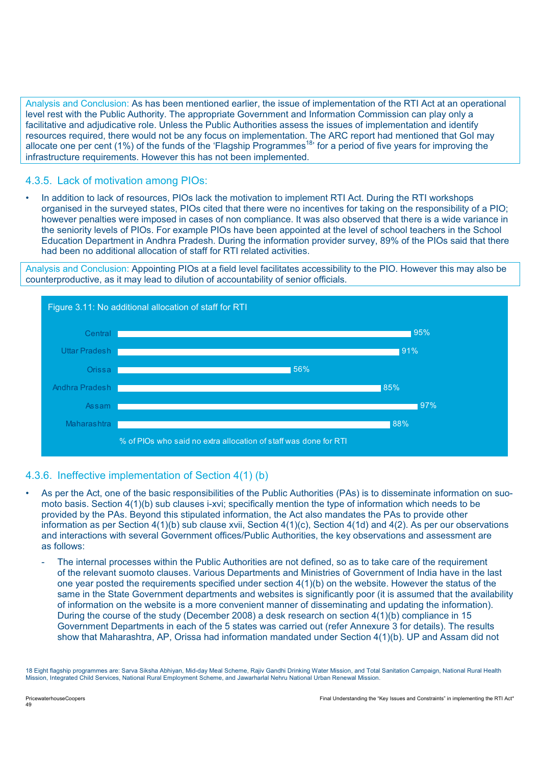Analysis and Conclusion: As has been mentioned earlier, the issue of implementation of the RTI Act at an operational level rest with the Public Authority. The appropriate Government and Information Commission can play only a facilitative and adjudicative role. Unless the Public Authorities assess the issues of implementation and identify resources required, there would not be any focus on implementation. The ARC report had mentioned that GoI may allocate one per cent (1%) of the funds of the 'Flagship Programmes<sup>18</sup>' for a period of five years for improving the infrastructure requirements. However this has not been implemented.

## 4.3.5. Lack of motivation among PIOs:

• In addition to lack of resources, PIOs lack the motivation to implement RTI Act. During the RTI workshops organised in the surveyed states, PIOs cited that there were no incentives for taking on the responsibility of a PIO; however penalties were imposed in cases of non compliance. It was also observed that there is a wide variance in the seniority levels of PIOs. For example PIOs have been appointed at the level of school teachers in the School Education Department in Andhra Pradesh. During the information provider survey, 89% of the PIOs said that there had been no additional allocation of staff for RTI related activities.

Analysis and Conclusion: Appointing PIOs at a field level facilitates accessibility to the PIO. However this may also be counterproductive, as it may lead to dilution of accountability of senior officials.



### 4.3.6. Ineffective implementation of Section 4(1) (b)

- As per the Act, one of the basic responsibilities of the Public Authorities (PAs) is to disseminate information on suomoto basis. Section 4(1)(b) sub clauses i-xvi; specifically mention the type of information which needs to be provided by the PAs. Beyond this stipulated information, the Act also mandates the PAs to provide other information as per Section 4(1)(b) sub clause xvii, Section 4(1)(c), Section 4(1d) and 4(2). As per our observations and interactions with several Government offices/Public Authorities, the key observations and assessment are as follows:
	- The internal processes within the Public Authorities are not defined, so as to take care of the requirement of the relevant suomoto clauses. Various Departments and Ministries of Government of India have in the last one year posted the requirements specified under section 4(1)(b) on the website. However the status of the same in the State Government departments and websites is significantly poor (it is assumed that the availability of information on the website is a more convenient manner of disseminating and updating the information). During the course of the study (December 2008) a desk research on section 4(1)(b) compliance in 15 Government Departments in each of the 5 states was carried out (refer Annexure 3 for details). The results show that Maharashtra, AP, Orissa had information mandated under Section 4(1)(b). UP and Assam did not

<sup>18</sup> Eight flagship programmes are: Sarva Siksha Abhiyan, Mid-day Meal Scheme, Rajiv Gandhi Drinking Water Mission, and Total Sanitation Campaign, National Rural Health Mission, Integrated Child Services, National Rural Employment Scheme, and Jawarharlal Nehru National Urban Renewal Mission.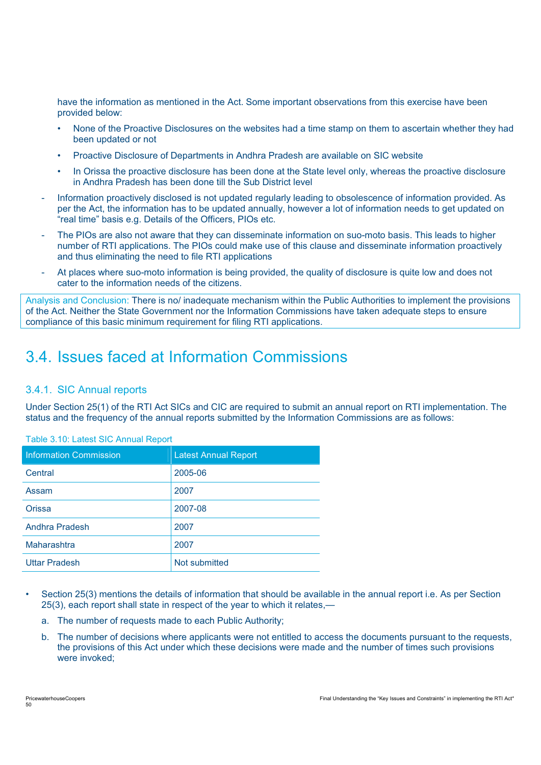have the information as mentioned in the Act. Some important observations from this exercise have been provided below:

- None of the Proactive Disclosures on the websites had a time stamp on them to ascertain whether they had been updated or not
- Proactive Disclosure of Departments in Andhra Pradesh are available on SIC website
- In Orissa the proactive disclosure has been done at the State level only, whereas the proactive disclosure in Andhra Pradesh has been done till the Sub District level
- Information proactively disclosed is not updated regularly leading to obsolescence of information provided. As per the Act, the information has to be updated annually, however a lot of information needs to get updated on "real time" basis e.g. Details of the Officers, PIOs etc.
- The PIOs are also not aware that they can disseminate information on suo-moto basis. This leads to higher number of RTI applications. The PIOs could make use of this clause and disseminate information proactively and thus eliminating the need to file RTI applications
- At places where suo-moto information is being provided, the quality of disclosure is quite low and does not cater to the information needs of the citizens.

Analysis and Conclusion: There is no/ inadequate mechanism within the Public Authorities to implement the provisions of the Act. Neither the State Government nor the Information Commissions have taken adequate steps to ensure compliance of this basic minimum requirement for filing RTI applications.

# 3.4. Issues faced at Information Commissions

### 3.4.1. SIC Annual reports

Under Section 25(1) of the RTI Act SICs and CIC are required to submit an annual report on RTI implementation. The status and the frequency of the annual reports submitted by the Information Commissions are as follows:

| <b>Information Commission</b> | <b>Latest Annual Report</b> |
|-------------------------------|-----------------------------|
| Central                       | 2005-06                     |
| Assam                         | 2007                        |
| <b>Orissa</b>                 | 2007-08                     |
| Andhra Pradesh                | 2007                        |
| Maharashtra                   | 2007                        |
| <b>Uttar Pradesh</b>          | Not submitted               |

Table 3.10: Latest SIC Annual Report

- Section 25(3) mentions the details of information that should be available in the annual report i.e. As per Section 25(3), each report shall state in respect of the year to which it relates,
	- a. The number of requests made to each Public Authority;
	- b. The number of decisions where applicants were not entitled to access the documents pursuant to the requests, the provisions of this Act under which these decisions were made and the number of times such provisions were invoked;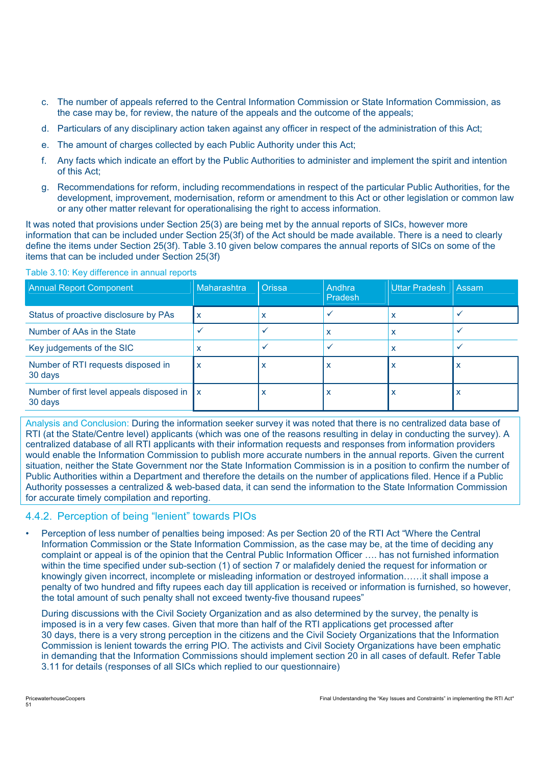- c. The number of appeals referred to the Central Information Commission or State Information Commission, as the case may be, for review, the nature of the appeals and the outcome of the appeals;
- d. Particulars of any disciplinary action taken against any officer in respect of the administration of this Act;
- e. The amount of charges collected by each Public Authority under this Act;
- f. Any facts which indicate an effort by the Public Authorities to administer and implement the spirit and intention of this Act;
- g. Recommendations for reform, including recommendations in respect of the particular Public Authorities, for the development, improvement, modernisation, reform or amendment to this Act or other legislation or common law or any other matter relevant for operationalising the right to access information.

It was noted that provisions under Section 25(3) are being met by the annual reports of SICs, however more information that can be included under Section 25(3f) of the Act should be made available. There is a need to clearly define the items under Section 25(3f). Table 3.10 given below compares the annual reports of SICs on some of the items that can be included under Section 25(3f)

| <b>Annual Report Component</b>                               | Maharashtra | <b>Orissa</b> | Andhra<br>Pradesh | Uttar Pradesh | Assam |
|--------------------------------------------------------------|-------------|---------------|-------------------|---------------|-------|
| Status of proactive disclosure by PAs                        | X           | ́             |                   | x             |       |
| Number of AAs in the State                                   |             |               | x                 | x             |       |
| Key judgements of the SIC                                    | х           |               |                   | X             |       |
| Number of RTI requests disposed in<br>30 days                | X           |               |                   | X             |       |
| Number of first level appeals disposed in $\ x\ $<br>30 days |             |               | х                 | x             |       |

#### Table 3.10: Key difference in annual reports

Analysis and Conclusion: During the information seeker survey it was noted that there is no centralized data base of RTI (at the State/Centre level) applicants (which was one of the reasons resulting in delay in conducting the survey). A centralized database of all RTI applicants with their information requests and responses from information providers would enable the Information Commission to publish more accurate numbers in the annual reports. Given the current situation, neither the State Government nor the State Information Commission is in a position to confirm the number of Public Authorities within a Department and therefore the details on the number of applications filed. Hence if a Public Authority possesses a centralized & web-based data, it can send the information to the State Information Commission for accurate timely compilation and reporting.

#### 4.4.2. Perception of being "lenient" towards PIOs

• Perception of less number of penalties being imposed: As per Section 20 of the RTI Act "Where the Central Information Commission or the State Information Commission, as the case may be, at the time of deciding any complaint or appeal is of the opinion that the Central Public Information Officer …. has not furnished information within the time specified under sub-section (1) of section 7 or malafidely denied the request for information or knowingly given incorrect, incomplete or misleading information or destroyed information……it shall impose a penalty of two hundred and fifty rupees each day till application is received or information is furnished, so however, the total amount of such penalty shall not exceed twenty-five thousand rupees"

During discussions with the Civil Society Organization and as also determined by the survey, the penalty is imposed is in a very few cases. Given that more than half of the RTI applications get processed after 30 days, there is a very strong perception in the citizens and the Civil Society Organizations that the Information Commission is lenient towards the erring PIO. The activists and Civil Society Organizations have been emphatic in demanding that the Information Commissions should implement section 20 in all cases of default. Refer Table 3.11 for details (responses of all SICs which replied to our questionnaire)

51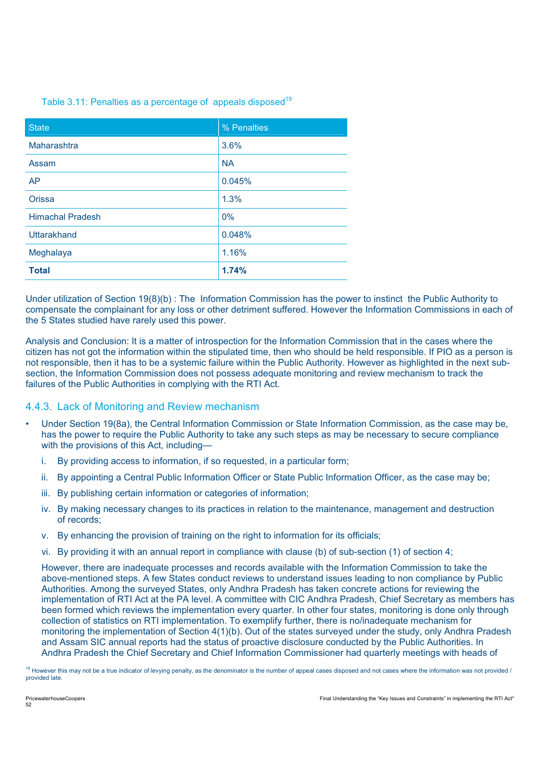#### Table 3.11: Penalties as a percentage of appeals disposed<sup>19</sup>

| <b>State</b>            | % Penalties |
|-------------------------|-------------|
| Maharashtra             | 3.6%        |
| Assam                   | <b>NA</b>   |
| AP                      | 0.045%      |
| Orissa                  | 1.3%        |
| <b>Himachal Pradesh</b> | 0%          |
| Uttarakhand             | 0.048%      |
| Meghalaya               | 1.16%       |
| <b>Total</b>            | 1.74%       |

Under utilization of Section 19(8)(b) : The Information Commission has the power to instinct the Public Authority to compensate the complainant for any loss or other detriment suffered. However the Information Commissions in each of the 5 States studied have rarely used this power.

Analysis and Conclusion: It is a matter of introspection for the Information Commission that in the cases where the citizen has not got the information within the stipulated time, then who should be held responsible. If PIO as a person is not responsible, then it has to be a systemic failure within the Public Authority. However as highlighted in the next subsection, the Information Commission does not possess adequate monitoring and review mechanism to track the failures of the Public Authorities in complying with the RTI Act.

### 4.4.3. Lack of Monitoring and Review mechanism

- Under Section 19(8a), the Central Information Commission or State Information Commission, as the case may be, has the power to require the Public Authority to take any such steps as may be necessary to secure compliance with the provisions of this Act, including
	- i. By providing access to information, if so requested, in a particular form;
	- ii. By appointing a Central Public Information Officer or State Public Information Officer, as the case may be;
	- iii. By publishing certain information or categories of information;
	- iv. By making necessary changes to its practices in relation to the maintenance, management and destruction of records;
	- v. By enhancing the provision of training on the right to information for its officials;
	- vi. By providing it with an annual report in compliance with clause (b) of sub-section (1) of section 4;

However, there are inadequate processes and records available with the Information Commission to take the above-mentioned steps. A few States conduct reviews to understand issues leading to non compliance by Public Authorities. Among the surveyed States, only Andhra Pradesh has taken concrete actions for reviewing the implementation of RTI Act at the PA level. A committee with CIC Andhra Pradesh, Chief Secretary as members has been formed which reviews the implementation every quarter. In other four states, monitoring is done only through collection of statistics on RTI implementation. To exemplify further, there is no/inadequate mechanism for monitoring the implementation of Section 4(1)(b). Out of the states surveyed under the study, only Andhra Pradesh and Assam SIC annual reports had the status of proactive disclosure conducted by the Public Authorities. In Andhra Pradesh the Chief Secretary and Chief Information Commissioner had quarterly meetings with heads of

<sup>&</sup>lt;sup>19</sup> However this may not be a true indicator of levying penalty, as the denominator is the number of appeal cases disposed and not cases where the information was not provided / provided late.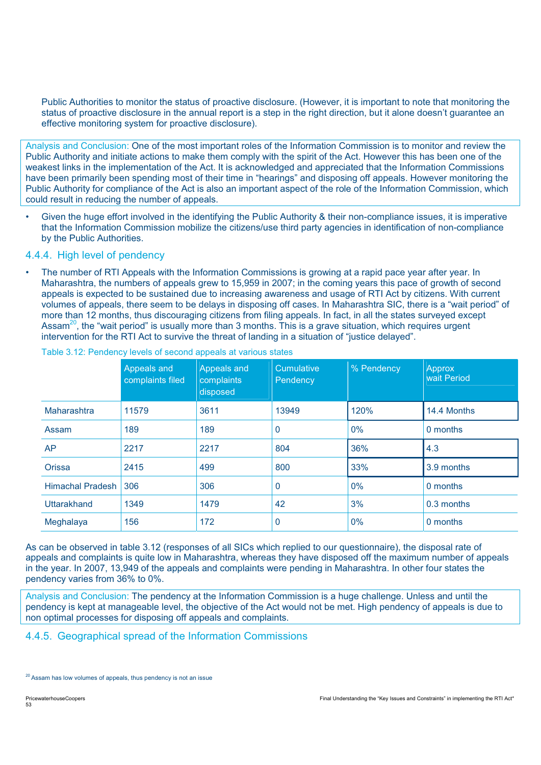Public Authorities to monitor the status of proactive disclosure. (However, it is important to note that monitoring the status of proactive disclosure in the annual report is a step in the right direction, but it alone doesn't guarantee an effective monitoring system for proactive disclosure).

Analysis and Conclusion: One of the most important roles of the Information Commission is to monitor and review the Public Authority and initiate actions to make them comply with the spirit of the Act. However this has been one of the weakest links in the implementation of the Act. It is acknowledged and appreciated that the Information Commissions have been primarily been spending most of their time in "hearings" and disposing off appeals. However monitoring the Public Authority for compliance of the Act is also an important aspect of the role of the Information Commission, which could result in reducing the number of appeals.

Given the huge effort involved in the identifying the Public Authority & their non-compliance issues, it is imperative that the Information Commission mobilize the citizens/use third party agencies in identification of non-compliance by the Public Authorities.

### 4.4.4. High level of pendency

The number of RTI Appeals with the Information Commissions is growing at a rapid pace year after year. In Maharashtra, the numbers of appeals grew to 15,959 in 2007; in the coming years this pace of growth of second appeals is expected to be sustained due to increasing awareness and usage of RTI Act by citizens. With current volumes of appeals, there seem to be delays in disposing off cases. In Maharashtra SIC, there is a "wait period" of more than 12 months, thus discouraging citizens from filing appeals. In fact, in all the states surveyed except Assam<sup>20</sup>, the "wait period" is usually more than 3 months. This is a grave situation, which requires urgent intervention for the RTI Act to survive the threat of landing in a situation of "justice delayed".

|                         | Appeals and<br>complaints filed | Appeals and<br>complaints<br>disposed | Cumulative<br>Pendency | % Pendency | Approx<br>wait Period |
|-------------------------|---------------------------------|---------------------------------------|------------------------|------------|-----------------------|
| Maharashtra             | 11579                           | 3611                                  | 13949                  | 120%       | 14.4 Months           |
| Assam                   | 189                             | 189                                   | 0                      | $0\%$      | 0 months              |
| <b>AP</b>               | 2217                            | 2217                                  | 804                    | 36%        | 4.3                   |
| Orissa                  | 2415                            | 499                                   | 800                    | 33%        | 3.9 months            |
| <b>Himachal Pradesh</b> | 306                             | 306                                   | 0                      | $0\%$      | 0 months              |
| Uttarakhand             | 1349                            | 1479                                  | 42                     | 3%         | 0.3 months            |
| Meghalaya               | 156                             | 172                                   | 0                      | 0%         | 0 months              |

Table 3.12: Pendency levels of second appeals at various states

As can be observed in table 3.12 (responses of all SICs which replied to our questionnaire), the disposal rate of appeals and complaints is quite low in Maharashtra, whereas they have disposed off the maximum number of appeals in the year. In 2007, 13,949 of the appeals and complaints were pending in Maharashtra. In other four states the pendency varies from 36% to 0%.

Analysis and Conclusion: The pendency at the Information Commission is a huge challenge. Unless and until the pendency is kept at manageable level, the objective of the Act would not be met. High pendency of appeals is due to non optimal processes for disposing off appeals and complaints.

### 4.4.5. Geographical spread of the Information Commissions

<sup>&</sup>lt;sup>20</sup> Assam has low volumes of appeals, thus pendency is not an issue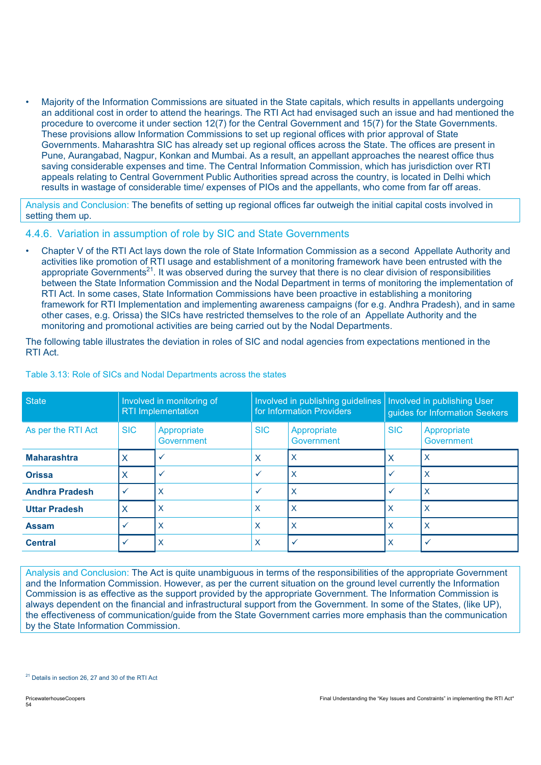• Majority of the Information Commissions are situated in the State capitals, which results in appellants undergoing an additional cost in order to attend the hearings. The RTI Act had envisaged such an issue and had mentioned the procedure to overcome it under section 12(7) for the Central Government and 15(7) for the State Governments. These provisions allow Information Commissions to set up regional offices with prior approval of State Governments. Maharashtra SIC has already set up regional offices across the State. The offices are present in Pune, Aurangabad, Nagpur, Konkan and Mumbai. As a result, an appellant approaches the nearest office thus saving considerable expenses and time. The Central Information Commission, which has jurisdiction over RTI appeals relating to Central Government Public Authorities spread across the country, is located in Delhi which results in wastage of considerable time/ expenses of PIOs and the appellants, who come from far off areas.

Analysis and Conclusion: The benefits of setting up regional offices far outweigh the initial capital costs involved in setting them up.

### 4.4.6. Variation in assumption of role by SIC and State Governments

• Chapter V of the RTI Act lays down the role of State Information Commission as a second Appellate Authority and activities like promotion of RTI usage and establishment of a monitoring framework have been entrusted with the appropriate Governments<sup>21</sup>. It was observed during the survey that there is no clear division of responsibilities between the State Information Commission and the Nodal Department in terms of monitoring the implementation of RTI Act. In some cases, State Information Commissions have been proactive in establishing a monitoring framework for RTI Implementation and implementing awareness campaigns (for e.g. Andhra Pradesh), and in same other cases, e.g. Orissa) the SICs have restricted themselves to the role of an Appellate Authority and the monitoring and promotional activities are being carried out by the Nodal Departments.

The following table illustrates the deviation in roles of SIC and nodal agencies from expectations mentioned in the RTI Act.

| State                 | Involved in monitoring of<br><b>RTI</b> Implementation |                           | Involved in publishing guidelines   Involved in publishing User<br>for Information Providers |                           | guides for Information Seekers |                           |
|-----------------------|--------------------------------------------------------|---------------------------|----------------------------------------------------------------------------------------------|---------------------------|--------------------------------|---------------------------|
| As per the RTI Act    | <b>SIC</b>                                             | Appropriate<br>Government | <b>SIC</b>                                                                                   | Appropriate<br>Government | <b>SIC</b>                     | Appropriate<br>Government |
| <b>Maharashtra</b>    | Х                                                      |                           | X                                                                                            | X                         | X                              | X                         |
| <b>Orissa</b>         | x                                                      |                           | $\checkmark$                                                                                 | X                         | $\checkmark$                   | $\times$                  |
| <b>Andhra Pradesh</b> | $\checkmark$                                           | X                         | $\checkmark$                                                                                 | X                         | $\checkmark$                   | X                         |
| <b>Uttar Pradesh</b>  | Χ                                                      | X                         | X                                                                                            | X                         | X                              | X                         |
| <b>Assam</b>          | ✓                                                      | $\times$                  | x                                                                                            | X                         | X                              | X                         |
| <b>Central</b>        |                                                        | $\mathsf{X}$              | X                                                                                            | $\checkmark$              | X                              | $\checkmark$              |

Table 3.13: Role of SICs and Nodal Departments across the states

Analysis and Conclusion: The Act is quite unambiguous in terms of the responsibilities of the appropriate Government and the Information Commission. However, as per the current situation on the ground level currently the Information Commission is as effective as the support provided by the appropriate Government. The Information Commission is always dependent on the financial and infrastructural support from the Government. In some of the States, (like UP), the effectiveness of communication/guide from the State Government carries more emphasis than the communication by the State Information Commission.

<sup>&</sup>lt;sup>21</sup> Details in section 26, 27 and 30 of the RTI Act